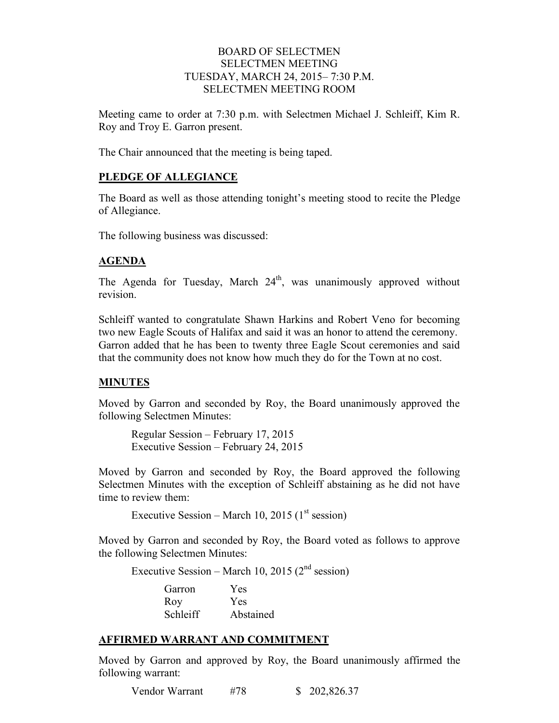### BOARD OF SELECTMEN SELECTMEN MEETING TUESDAY, MARCH 24, 2015– 7:30 P.M. SELECTMEN MEETING ROOM

Meeting came to order at 7:30 p.m. with Selectmen Michael J. Schleiff, Kim R. Roy and Troy E. Garron present.

The Chair announced that the meeting is being taped.

# **PLEDGE OF ALLEGIANCE**

The Board as well as those attending tonight's meeting stood to recite the Pledge of Allegiance.

The following business was discussed:

# **AGENDA**

The Agenda for Tuesday, March  $24<sup>th</sup>$ , was unanimously approved without revision.

Schleiff wanted to congratulate Shawn Harkins and Robert Veno for becoming two new Eagle Scouts of Halifax and said it was an honor to attend the ceremony. Garron added that he has been to twenty three Eagle Scout ceremonies and said that the community does not know how much they do for the Town at no cost.

# **MINUTES**

Moved by Garron and seconded by Roy, the Board unanimously approved the following Selectmen Minutes:

Regular Session – February 17, 2015 Executive Session – February 24, 2015

Moved by Garron and seconded by Roy, the Board approved the following Selectmen Minutes with the exception of Schleiff abstaining as he did not have time to review them:

Executive Session – March 10, 2015 ( $1<sup>st</sup>$  session)

Moved by Garron and seconded by Roy, the Board voted as follows to approve the following Selectmen Minutes:

Executive Session – March 10, 2015 ( $2<sup>nd</sup>$  session)

| Garron   | Yes       |
|----------|-----------|
| Roy      | Yes       |
| Schleiff | Abstained |

# **AFFIRMED WARRANT AND COMMITMENT**

Moved by Garron and approved by Roy, the Board unanimously affirmed the following warrant:

Vendor Warrant #78 \$ 202,826.37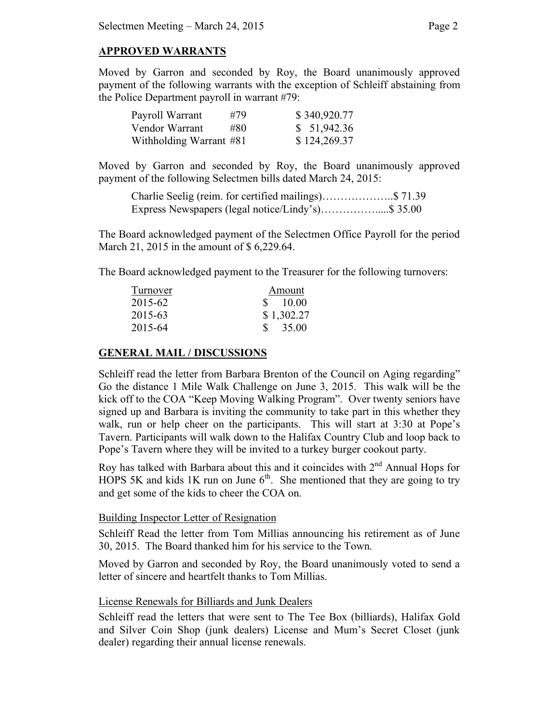### **APPROVED WARRANTS**

Moved by Garron and seconded by Roy, the Board unanimously approved payment of the following warrants with the exception of Schleiff abstaining from the Police Department payroll in warrant #79:

| Payroll Warrant         | #79 | \$340,920.77 |
|-------------------------|-----|--------------|
| Vendor Warrant          | #80 | \$51,942.36  |
| Withholding Warrant #81 |     | \$124,269.37 |

Moved by Garron and seconded by Roy, the Board unanimously approved payment of the following Selectmen bills dated March 24, 2015:

Charlie Seelig (reim. for certified mailings)………………..\$ 71.39 Express Newspapers (legal notice/Lindy's)…………….....\$ 35.00

The Board acknowledged payment of the Selectmen Office Payroll for the period March 21, 2015 in the amount of \$6,229.64.

The Board acknowledged payment to the Treasurer for the following turnovers:

| Turnover | Amount                |
|----------|-----------------------|
| 2015-62  | \$10.00               |
| 2015-63  | \$1,302.27            |
| 2015-64  | $\frac{\$}{\$}$ 35.00 |

### **GENERAL MAIL / DISCUSSIONS**

Schleiff read the letter from Barbara Brenton of the Council on Aging regarding" Go the distance 1 Mile Walk Challenge on June 3, 2015. This walk will be the kick off to the COA "Keep Moving Walking Program". Over twenty seniors have signed up and Barbara is inviting the community to take part in this whether they walk, run or help cheer on the participants. This will start at 3:30 at Pope's Tavern. Participants will walk down to the Halifax Country Club and loop back to Pope's Tavern where they will be invited to a turkey burger cookout party.

Roy has talked with Barbara about this and it coincides with  $2<sup>nd</sup>$  Annual Hops for HOPS 5K and kids 1K run on June  $6<sup>th</sup>$ . She mentioned that they are going to try and get some of the kids to cheer the COA on.

### Building Inspector Letter of Resignation

Schleiff Read the letter from Tom Millias announcing his retirement as of June 30, 2015. The Board thanked him for his service to the Town.

Moved by Garron and seconded by Roy, the Board unanimously voted to send a letter of sincere and heartfelt thanks to Tom Millias.

### License Renewals for Billiards and Junk Dealers

Schleiff read the letters that were sent to The Tee Box (billiards), Halifax Gold and Silver Coin Shop (junk dealers) License and Mum's Secret Closet (junk dealer) regarding their annual license renewals.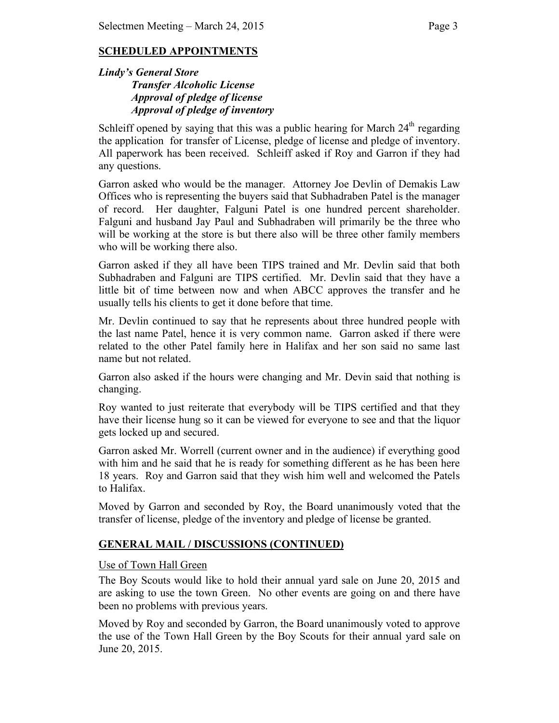# **SCHEDULED APPOINTMENTS**

### *Lindy's General Store Transfer Alcoholic License Approval of pledge of license Approval of pledge of inventory*

Schleiff opened by saying that this was a public hearing for March  $24<sup>th</sup>$  regarding the application for transfer of License, pledge of license and pledge of inventory. All paperwork has been received. Schleiff asked if Roy and Garron if they had any questions.

Garron asked who would be the manager. Attorney Joe Devlin of Demakis Law Offices who is representing the buyers said that Subhadraben Patel is the manager of record. Her daughter, Falguni Patel is one hundred percent shareholder. Falguni and husband Jay Paul and Subhadraben will primarily be the three who will be working at the store is but there also will be three other family members who will be working there also.

Garron asked if they all have been TIPS trained and Mr. Devlin said that both Subhadraben and Falguni are TIPS certified. Mr. Devlin said that they have a little bit of time between now and when ABCC approves the transfer and he usually tells his clients to get it done before that time.

Mr. Devlin continued to say that he represents about three hundred people with the last name Patel, hence it is very common name. Garron asked if there were related to the other Patel family here in Halifax and her son said no same last name but not related.

Garron also asked if the hours were changing and Mr. Devin said that nothing is changing.

Roy wanted to just reiterate that everybody will be TIPS certified and that they have their license hung so it can be viewed for everyone to see and that the liquor gets locked up and secured.

Garron asked Mr. Worrell (current owner and in the audience) if everything good with him and he said that he is ready for something different as he has been here 18 years. Roy and Garron said that they wish him well and welcomed the Patels to Halifax.

Moved by Garron and seconded by Roy, the Board unanimously voted that the transfer of license, pledge of the inventory and pledge of license be granted.

# **GENERAL MAIL / DISCUSSIONS (CONTINUED)**

### Use of Town Hall Green

The Boy Scouts would like to hold their annual yard sale on June 20, 2015 and are asking to use the town Green. No other events are going on and there have been no problems with previous years.

Moved by Roy and seconded by Garron, the Board unanimously voted to approve the use of the Town Hall Green by the Boy Scouts for their annual yard sale on June 20, 2015.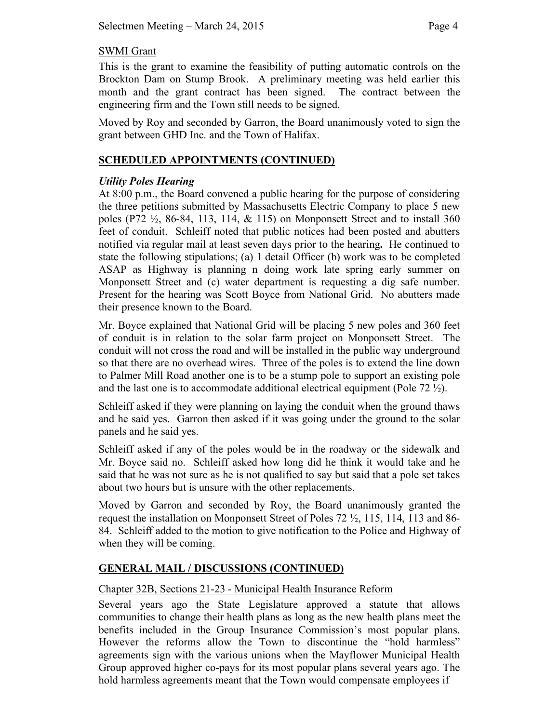# SWMI Grant

This is the grant to examine the feasibility of putting automatic controls on the Brockton Dam on Stump Brook. A preliminary meeting was held earlier this month and the grant contract has been signed. The contract between the engineering firm and the Town still needs to be signed.

Moved by Roy and seconded by Garron, the Board unanimously voted to sign the grant between GHD Inc. and the Town of Halifax.

# **SCHEDULED APPOINTMENTS (CONTINUED)**

# *Utility Poles Hearing*

At 8:00 p.m., the Board convened a public hearing for the purpose of considering the three petitions submitted by Massachusetts Electric Company to place 5 new poles (P72  $\frac{1}{2}$ , 86-84, 113, 114, & 115) on Monponsett Street and to install 360 feet of conduit. Schleiff noted that public notices had been posted and abutters notified via regular mail at least seven days prior to the hearing**.** He continued to state the following stipulations; (a) 1 detail Officer (b) work was to be completed ASAP as Highway is planning n doing work late spring early summer on Monponsett Street and (c) water department is requesting a dig safe number. Present for the hearing was Scott Boyce from National Grid. No abutters made their presence known to the Board.

Mr. Boyce explained that National Grid will be placing 5 new poles and 360 feet of conduit is in relation to the solar farm project on Monponsett Street. The conduit will not cross the road and will be installed in the public way underground so that there are no overhead wires. Three of the poles is to extend the line down to Palmer Mill Road another one is to be a stump pole to support an existing pole and the last one is to accommodate additional electrical equipment (Pole 72  $\frac{1}{2}$ ).

Schleiff asked if they were planning on laying the conduit when the ground thaws and he said yes. Garron then asked if it was going under the ground to the solar panels and he said yes.

Schleiff asked if any of the poles would be in the roadway or the sidewalk and Mr. Boyce said no. Schleiff asked how long did he think it would take and he said that he was not sure as he is not qualified to say but said that a pole set takes about two hours but is unsure with the other replacements.

Moved by Garron and seconded by Roy, the Board unanimously granted the request the installation on Monponsett Street of Poles 72 ½, 115, 114, 113 and 86- 84. Schleiff added to the motion to give notification to the Police and Highway of when they will be coming.

# **GENERAL MAIL / DISCUSSIONS (CONTINUED)**

# Chapter 32B, Sections 21-23 - Municipal Health Insurance Reform

Several years ago the State Legislature approved a statute that allows communities to change their health plans as long as the new health plans meet the benefits included in the Group Insurance Commission's most popular plans. However the reforms allow the Town to discontinue the "hold harmless" agreements sign with the various unions when the Mayflower Municipal Health Group approved higher co-pays for its most popular plans several years ago. The hold harmless agreements meant that the Town would compensate employees if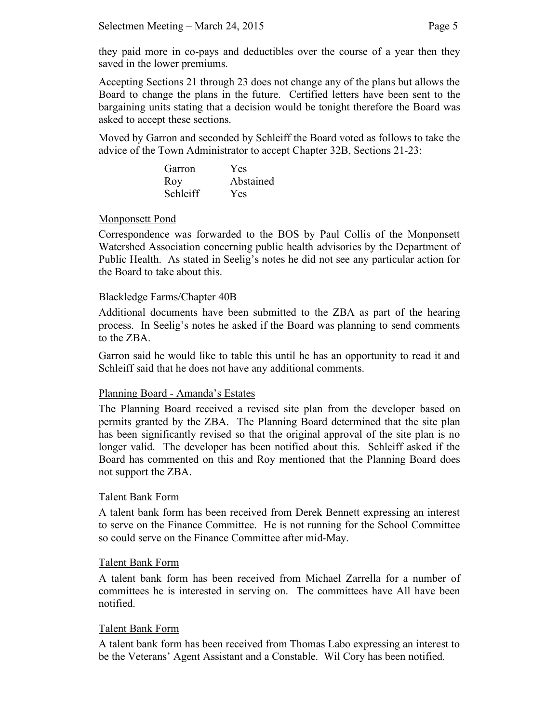Accepting Sections 21 through 23 does not change any of the plans but allows the Board to change the plans in the future. Certified letters have been sent to the bargaining units stating that a decision would be tonight therefore the Board was asked to accept these sections.

Moved by Garron and seconded by Schleiff the Board voted as follows to take the advice of the Town Administrator to accept Chapter 32B, Sections 21-23:

| Garron   | Yes       |
|----------|-----------|
| Roy      | Abstained |
| Schleiff | Yes       |

# Monponsett Pond

Correspondence was forwarded to the BOS by Paul Collis of the Monponsett Watershed Association concerning public health advisories by the Department of Public Health. As stated in Seelig's notes he did not see any particular action for the Board to take about this.

# Blackledge Farms/Chapter 40B

Additional documents have been submitted to the ZBA as part of the hearing process. In Seelig's notes he asked if the Board was planning to send comments to the ZBA.

Garron said he would like to table this until he has an opportunity to read it and Schleiff said that he does not have any additional comments.

# Planning Board - Amanda's Estates

The Planning Board received a revised site plan from the developer based on permits granted by the ZBA. The Planning Board determined that the site plan has been significantly revised so that the original approval of the site plan is no longer valid. The developer has been notified about this. Schleiff asked if the Board has commented on this and Roy mentioned that the Planning Board does not support the ZBA.

# Talent Bank Form

A talent bank form has been received from Derek Bennett expressing an interest to serve on the Finance Committee. He is not running for the School Committee so could serve on the Finance Committee after mid-May.

# Talent Bank Form

A talent bank form has been received from Michael Zarrella for a number of committees he is interested in serving on. The committees have All have been notified.

# Talent Bank Form

A talent bank form has been received from Thomas Labo expressing an interest to be the Veterans' Agent Assistant and a Constable. Wil Cory has been notified.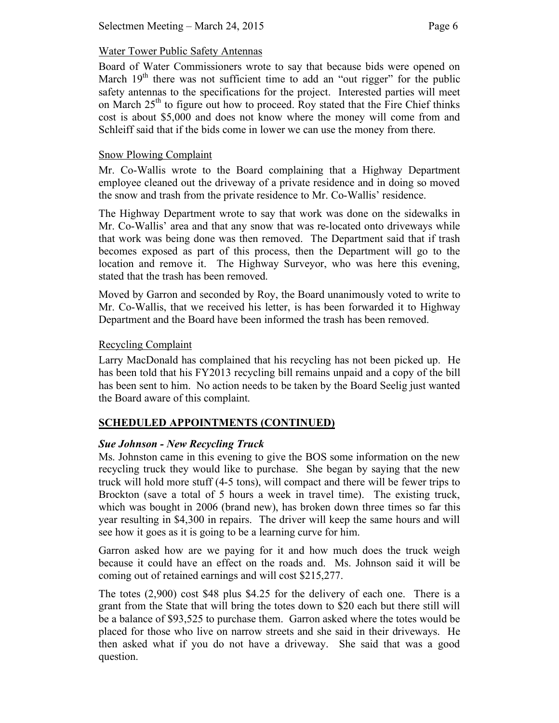### Water Tower Public Safety Antennas

Board of Water Commissioners wrote to say that because bids were opened on March  $19<sup>th</sup>$  there was not sufficient time to add an "out rigger" for the public safety antennas to the specifications for the project. Interested parties will meet on March  $25<sup>th</sup>$  to figure out how to proceed. Roy stated that the Fire Chief thinks cost is about \$5,000 and does not know where the money will come from and Schleiff said that if the bids come in lower we can use the money from there.

### Snow Plowing Complaint

Mr. Co-Wallis wrote to the Board complaining that a Highway Department employee cleaned out the driveway of a private residence and in doing so moved the snow and trash from the private residence to Mr. Co-Wallis' residence.

The Highway Department wrote to say that work was done on the sidewalks in Mr. Co-Wallis' area and that any snow that was re-located onto driveways while that work was being done was then removed. The Department said that if trash becomes exposed as part of this process, then the Department will go to the location and remove it. The Highway Surveyor, who was here this evening, stated that the trash has been removed.

Moved by Garron and seconded by Roy, the Board unanimously voted to write to Mr. Co-Wallis, that we received his letter, is has been forwarded it to Highway Department and the Board have been informed the trash has been removed.

# Recycling Complaint

Larry MacDonald has complained that his recycling has not been picked up. He has been told that his FY2013 recycling bill remains unpaid and a copy of the bill has been sent to him. No action needs to be taken by the Board Seelig just wanted the Board aware of this complaint.

# **SCHEDULED APPOINTMENTS (CONTINUED)**

# *Sue Johnson - New Recycling Truck*

Ms. Johnston came in this evening to give the BOS some information on the new recycling truck they would like to purchase. She began by saying that the new truck will hold more stuff (4-5 tons), will compact and there will be fewer trips to Brockton (save a total of 5 hours a week in travel time). The existing truck, which was bought in 2006 (brand new), has broken down three times so far this year resulting in \$4,300 in repairs. The driver will keep the same hours and will see how it goes as it is going to be a learning curve for him.

Garron asked how are we paying for it and how much does the truck weigh because it could have an effect on the roads and. Ms. Johnson said it will be coming out of retained earnings and will cost \$215,277.

The totes (2,900) cost \$48 plus \$4.25 for the delivery of each one. There is a grant from the State that will bring the totes down to \$20 each but there still will be a balance of \$93,525 to purchase them. Garron asked where the totes would be placed for those who live on narrow streets and she said in their driveways. He then asked what if you do not have a driveway. She said that was a good question.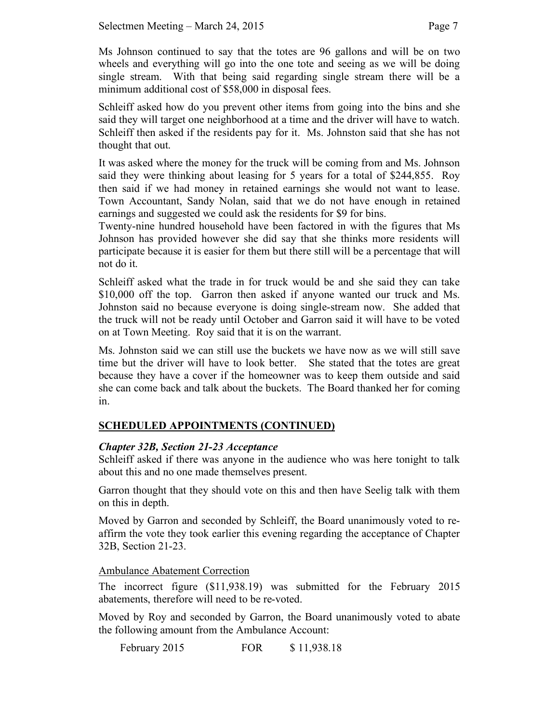Ms Johnson continued to say that the totes are 96 gallons and will be on two wheels and everything will go into the one tote and seeing as we will be doing single stream. With that being said regarding single stream there will be a minimum additional cost of \$58,000 in disposal fees.

Schleiff asked how do you prevent other items from going into the bins and she said they will target one neighborhood at a time and the driver will have to watch. Schleiff then asked if the residents pay for it. Ms. Johnston said that she has not thought that out.

It was asked where the money for the truck will be coming from and Ms. Johnson said they were thinking about leasing for 5 years for a total of \$244,855. Roy then said if we had money in retained earnings she would not want to lease. Town Accountant, Sandy Nolan, said that we do not have enough in retained earnings and suggested we could ask the residents for \$9 for bins.

Twenty-nine hundred household have been factored in with the figures that Ms Johnson has provided however she did say that she thinks more residents will participate because it is easier for them but there still will be a percentage that will not do it.

Schleiff asked what the trade in for truck would be and she said they can take \$10,000 off the top. Garron then asked if anyone wanted our truck and Ms. Johnston said no because everyone is doing single-stream now. She added that the truck will not be ready until October and Garron said it will have to be voted on at Town Meeting. Roy said that it is on the warrant.

Ms. Johnston said we can still use the buckets we have now as we will still save time but the driver will have to look better. She stated that the totes are great because they have a cover if the homeowner was to keep them outside and said she can come back and talk about the buckets. The Board thanked her for coming in.

# **SCHEDULED APPOINTMENTS (CONTINUED)**

# *Chapter 32B, Section 21-23 Acceptance*

Schleiff asked if there was anyone in the audience who was here tonight to talk about this and no one made themselves present.

Garron thought that they should vote on this and then have Seelig talk with them on this in depth.

Moved by Garron and seconded by Schleiff, the Board unanimously voted to reaffirm the vote they took earlier this evening regarding the acceptance of Chapter 32B, Section 21-23.

### Ambulance Abatement Correction

The incorrect figure (\$11,938.19) was submitted for the February 2015 abatements, therefore will need to be re-voted.

Moved by Roy and seconded by Garron, the Board unanimously voted to abate the following amount from the Ambulance Account:

February 2015 FOR \$ 11,938.18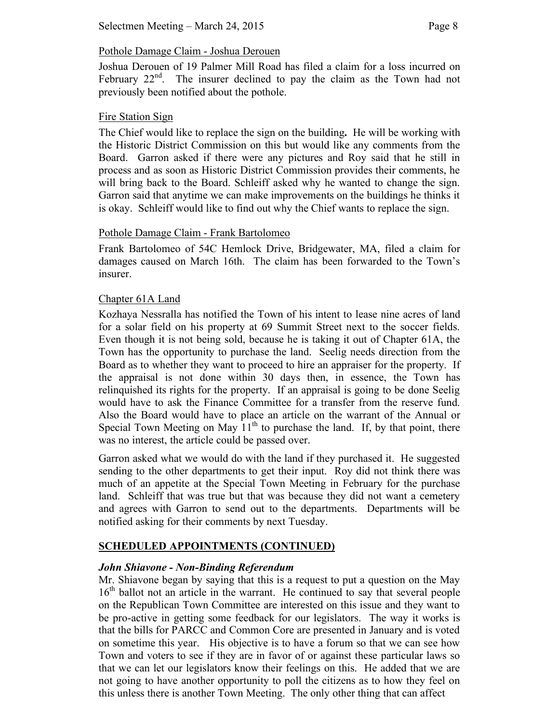# Pothole Damage Claim - Joshua Derouen

Joshua Derouen of 19 Palmer Mill Road has filed a claim for a loss incurred on February 22<sup>nd</sup>. The insurer declined to pay the claim as the Town had not previously been notified about the pothole.

### Fire Station Sign

The Chief would like to replace the sign on the building**.** He will be working with the Historic District Commission on this but would like any comments from the Board. Garron asked if there were any pictures and Roy said that he still in process and as soon as Historic District Commission provides their comments, he will bring back to the Board. Schleiff asked why he wanted to change the sign. Garron said that anytime we can make improvements on the buildings he thinks it is okay. Schleiff would like to find out why the Chief wants to replace the sign.

# Pothole Damage Claim - Frank Bartolomeo

Frank Bartolomeo of 54C Hemlock Drive, Bridgewater, MA, filed a claim for damages caused on March 16th. The claim has been forwarded to the Town's insurer.

# Chapter 61A Land

Kozhaya Nessralla has notified the Town of his intent to lease nine acres of land for a solar field on his property at 69 Summit Street next to the soccer fields. Even though it is not being sold, because he is taking it out of Chapter 61A, the Town has the opportunity to purchase the land. Seelig needs direction from the Board as to whether they want to proceed to hire an appraiser for the property. If the appraisal is not done within 30 days then, in essence, the Town has relinquished its rights for the property. If an appraisal is going to be done Seelig would have to ask the Finance Committee for a transfer from the reserve fund. Also the Board would have to place an article on the warrant of the Annual or Special Town Meeting on May  $11<sup>th</sup>$  to purchase the land. If, by that point, there was no interest, the article could be passed over.

Garron asked what we would do with the land if they purchased it. He suggested sending to the other departments to get their input. Roy did not think there was much of an appetite at the Special Town Meeting in February for the purchase land. Schleiff that was true but that was because they did not want a cemetery and agrees with Garron to send out to the departments. Departments will be notified asking for their comments by next Tuesday.

# **SCHEDULED APPOINTMENTS (CONTINUED)**

# *John Shiavone - Non-Binding Referendum*

Mr. Shiavone began by saying that this is a request to put a question on the May 16<sup>th</sup> ballot not an article in the warrant. He continued to say that several people on the Republican Town Committee are interested on this issue and they want to be pro-active in getting some feedback for our legislators. The way it works is that the bills for PARCC and Common Core are presented in January and is voted on sometime this year. His objective is to have a forum so that we can see how Town and voters to see if they are in favor of or against these particular laws so that we can let our legislators know their feelings on this. He added that we are not going to have another opportunity to poll the citizens as to how they feel on this unless there is another Town Meeting. The only other thing that can affect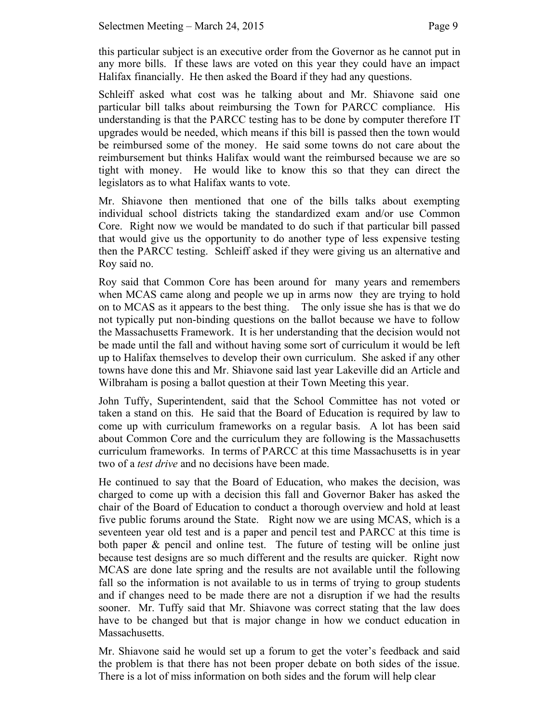this particular subject is an executive order from the Governor as he cannot put in any more bills. If these laws are voted on this year they could have an impact Halifax financially. He then asked the Board if they had any questions.

Schleiff asked what cost was he talking about and Mr. Shiavone said one particular bill talks about reimbursing the Town for PARCC compliance. His understanding is that the PARCC testing has to be done by computer therefore IT upgrades would be needed, which means if this bill is passed then the town would be reimbursed some of the money. He said some towns do not care about the reimbursement but thinks Halifax would want the reimbursed because we are so tight with money. He would like to know this so that they can direct the legislators as to what Halifax wants to vote.

Mr. Shiavone then mentioned that one of the bills talks about exempting individual school districts taking the standardized exam and/or use Common Core. Right now we would be mandated to do such if that particular bill passed that would give us the opportunity to do another type of less expensive testing then the PARCC testing. Schleiff asked if they were giving us an alternative and Roy said no.

Roy said that Common Core has been around for many years and remembers when MCAS came along and people we up in arms now they are trying to hold on to MCAS as it appears to the best thing. The only issue she has is that we do not typically put non-binding questions on the ballot because we have to follow the Massachusetts Framework. It is her understanding that the decision would not be made until the fall and without having some sort of curriculum it would be left up to Halifax themselves to develop their own curriculum. She asked if any other towns have done this and Mr. Shiavone said last year Lakeville did an Article and Wilbraham is posing a ballot question at their Town Meeting this year.

John Tuffy, Superintendent, said that the School Committee has not voted or taken a stand on this. He said that the Board of Education is required by law to come up with curriculum frameworks on a regular basis. A lot has been said about Common Core and the curriculum they are following is the Massachusetts curriculum frameworks. In terms of PARCC at this time Massachusetts is in year two of a *test drive* and no decisions have been made.

He continued to say that the Board of Education, who makes the decision, was charged to come up with a decision this fall and Governor Baker has asked the chair of the Board of Education to conduct a thorough overview and hold at least five public forums around the State. Right now we are using MCAS, which is a seventeen year old test and is a paper and pencil test and PARCC at this time is both paper & pencil and online test. The future of testing will be online just because test designs are so much different and the results are quicker. Right now MCAS are done late spring and the results are not available until the following fall so the information is not available to us in terms of trying to group students and if changes need to be made there are not a disruption if we had the results sooner. Mr. Tuffy said that Mr. Shiavone was correct stating that the law does have to be changed but that is major change in how we conduct education in Massachusetts.

Mr. Shiavone said he would set up a forum to get the voter's feedback and said the problem is that there has not been proper debate on both sides of the issue. There is a lot of miss information on both sides and the forum will help clear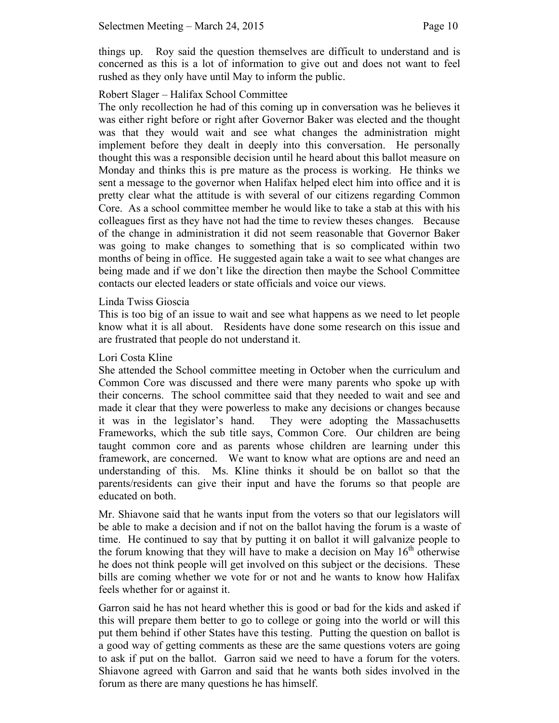things up. Roy said the question themselves are difficult to understand and is concerned as this is a lot of information to give out and does not want to feel rushed as they only have until May to inform the public.

### Robert Slager – Halifax School Committee

The only recollection he had of this coming up in conversation was he believes it was either right before or right after Governor Baker was elected and the thought was that they would wait and see what changes the administration might implement before they dealt in deeply into this conversation. He personally thought this was a responsible decision until he heard about this ballot measure on Monday and thinks this is pre mature as the process is working. He thinks we sent a message to the governor when Halifax helped elect him into office and it is pretty clear what the attitude is with several of our citizens regarding Common Core. As a school committee member he would like to take a stab at this with his colleagues first as they have not had the time to review theses changes. Because of the change in administration it did not seem reasonable that Governor Baker was going to make changes to something that is so complicated within two months of being in office. He suggested again take a wait to see what changes are being made and if we don't like the direction then maybe the School Committee contacts our elected leaders or state officials and voice our views.

### Linda Twiss Gioscia

This is too big of an issue to wait and see what happens as we need to let people know what it is all about. Residents have done some research on this issue and are frustrated that people do not understand it.

### Lori Costa Kline

She attended the School committee meeting in October when the curriculum and Common Core was discussed and there were many parents who spoke up with their concerns. The school committee said that they needed to wait and see and made it clear that they were powerless to make any decisions or changes because it was in the legislator's hand. They were adopting the Massachusetts Frameworks, which the sub title says, Common Core. Our children are being taught common core and as parents whose children are learning under this framework, are concerned. We want to know what are options are and need an understanding of this. Ms. Kline thinks it should be on ballot so that the parents/residents can give their input and have the forums so that people are educated on both.

Mr. Shiavone said that he wants input from the voters so that our legislators will be able to make a decision and if not on the ballot having the forum is a waste of time. He continued to say that by putting it on ballot it will galvanize people to the forum knowing that they will have to make a decision on May  $16<sup>th</sup>$  otherwise he does not think people will get involved on this subject or the decisions. These bills are coming whether we vote for or not and he wants to know how Halifax feels whether for or against it.

Garron said he has not heard whether this is good or bad for the kids and asked if this will prepare them better to go to college or going into the world or will this put them behind if other States have this testing. Putting the question on ballot is a good way of getting comments as these are the same questions voters are going to ask if put on the ballot. Garron said we need to have a forum for the voters. Shiavone agreed with Garron and said that he wants both sides involved in the forum as there are many questions he has himself.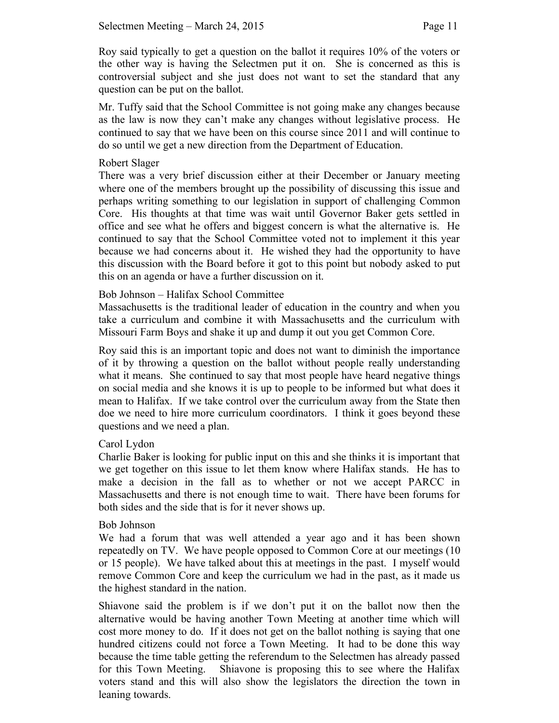Roy said typically to get a question on the ballot it requires 10% of the voters or the other way is having the Selectmen put it on. She is concerned as this is controversial subject and she just does not want to set the standard that any question can be put on the ballot.

Mr. Tuffy said that the School Committee is not going make any changes because as the law is now they can't make any changes without legislative process. He continued to say that we have been on this course since 2011 and will continue to do so until we get a new direction from the Department of Education.

### Robert Slager

There was a very brief discussion either at their December or January meeting where one of the members brought up the possibility of discussing this issue and perhaps writing something to our legislation in support of challenging Common Core. His thoughts at that time was wait until Governor Baker gets settled in office and see what he offers and biggest concern is what the alternative is. He continued to say that the School Committee voted not to implement it this year because we had concerns about it. He wished they had the opportunity to have this discussion with the Board before it got to this point but nobody asked to put this on an agenda or have a further discussion on it.

### Bob Johnson – Halifax School Committee

Massachusetts is the traditional leader of education in the country and when you take a curriculum and combine it with Massachusetts and the curriculum with Missouri Farm Boys and shake it up and dump it out you get Common Core.

Roy said this is an important topic and does not want to diminish the importance of it by throwing a question on the ballot without people really understanding what it means. She continued to say that most people have heard negative things on social media and she knows it is up to people to be informed but what does it mean to Halifax. If we take control over the curriculum away from the State then doe we need to hire more curriculum coordinators. I think it goes beyond these questions and we need a plan.

# Carol Lydon

Charlie Baker is looking for public input on this and she thinks it is important that we get together on this issue to let them know where Halifax stands. He has to make a decision in the fall as to whether or not we accept PARCC in Massachusetts and there is not enough time to wait. There have been forums for both sides and the side that is for it never shows up.

### Bob Johnson

We had a forum that was well attended a year ago and it has been shown repeatedly on TV. We have people opposed to Common Core at our meetings (10 or 15 people). We have talked about this at meetings in the past. I myself would remove Common Core and keep the curriculum we had in the past, as it made us the highest standard in the nation.

Shiavone said the problem is if we don't put it on the ballot now then the alternative would be having another Town Meeting at another time which will cost more money to do. If it does not get on the ballot nothing is saying that one hundred citizens could not force a Town Meeting. It had to be done this way because the time table getting the referendum to the Selectmen has already passed for this Town Meeting. Shiavone is proposing this to see where the Halifax voters stand and this will also show the legislators the direction the town in leaning towards.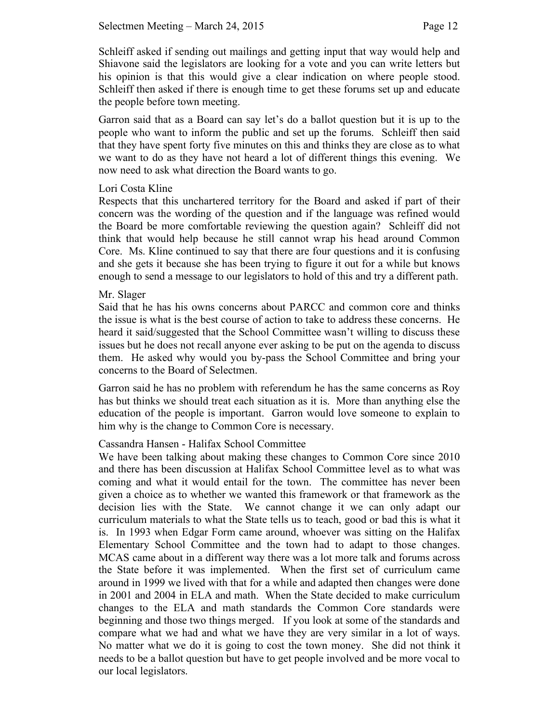Schleiff asked if sending out mailings and getting input that way would help and Shiavone said the legislators are looking for a vote and you can write letters but his opinion is that this would give a clear indication on where people stood. Schleiff then asked if there is enough time to get these forums set up and educate the people before town meeting.

Garron said that as a Board can say let's do a ballot question but it is up to the people who want to inform the public and set up the forums. Schleiff then said that they have spent forty five minutes on this and thinks they are close as to what we want to do as they have not heard a lot of different things this evening. We now need to ask what direction the Board wants to go.

### Lori Costa Kline

Respects that this unchartered territory for the Board and asked if part of their concern was the wording of the question and if the language was refined would the Board be more comfortable reviewing the question again? Schleiff did not think that would help because he still cannot wrap his head around Common Core. Ms. Kline continued to say that there are four questions and it is confusing and she gets it because she has been trying to figure it out for a while but knows enough to send a message to our legislators to hold of this and try a different path.

### Mr. Slager

Said that he has his owns concerns about PARCC and common core and thinks the issue is what is the best course of action to take to address these concerns. He heard it said/suggested that the School Committee wasn't willing to discuss these issues but he does not recall anyone ever asking to be put on the agenda to discuss them. He asked why would you by-pass the School Committee and bring your concerns to the Board of Selectmen.

Garron said he has no problem with referendum he has the same concerns as Roy has but thinks we should treat each situation as it is. More than anything else the education of the people is important. Garron would love someone to explain to him why is the change to Common Core is necessary.

# Cassandra Hansen - Halifax School Committee

We have been talking about making these changes to Common Core since 2010 and there has been discussion at Halifax School Committee level as to what was coming and what it would entail for the town. The committee has never been given a choice as to whether we wanted this framework or that framework as the decision lies with the State. We cannot change it we can only adapt our curriculum materials to what the State tells us to teach, good or bad this is what it is. In 1993 when Edgar Form came around, whoever was sitting on the Halifax Elementary School Committee and the town had to adapt to those changes. MCAS came about in a different way there was a lot more talk and forums across the State before it was implemented. When the first set of curriculum came around in 1999 we lived with that for a while and adapted then changes were done in 2001 and 2004 in ELA and math. When the State decided to make curriculum changes to the ELA and math standards the Common Core standards were beginning and those two things merged. If you look at some of the standards and compare what we had and what we have they are very similar in a lot of ways. No matter what we do it is going to cost the town money. She did not think it needs to be a ballot question but have to get people involved and be more vocal to our local legislators.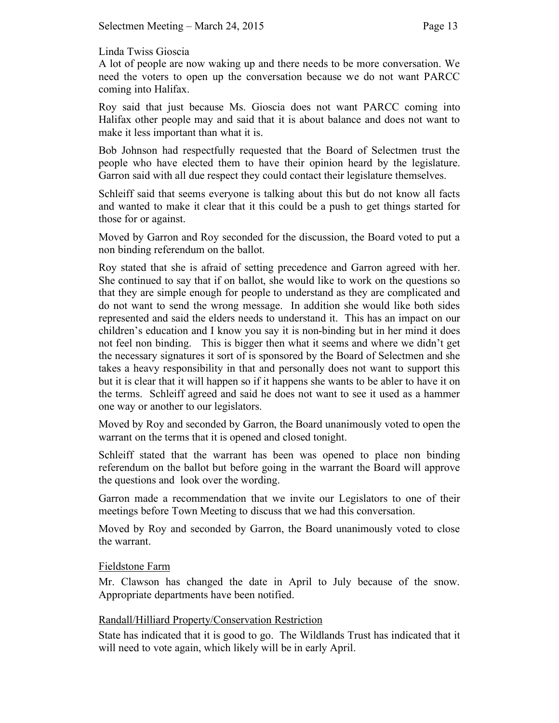### Linda Twiss Gioscia

A lot of people are now waking up and there needs to be more conversation. We need the voters to open up the conversation because we do not want PARCC coming into Halifax.

Roy said that just because Ms. Gioscia does not want PARCC coming into Halifax other people may and said that it is about balance and does not want to make it less important than what it is.

Bob Johnson had respectfully requested that the Board of Selectmen trust the people who have elected them to have their opinion heard by the legislature. Garron said with all due respect they could contact their legislature themselves.

Schleiff said that seems everyone is talking about this but do not know all facts and wanted to make it clear that it this could be a push to get things started for those for or against.

Moved by Garron and Roy seconded for the discussion, the Board voted to put a non binding referendum on the ballot.

Roy stated that she is afraid of setting precedence and Garron agreed with her. She continued to say that if on ballot, she would like to work on the questions so that they are simple enough for people to understand as they are complicated and do not want to send the wrong message. In addition she would like both sides represented and said the elders needs to understand it. This has an impact on our children's education and I know you say it is non-binding but in her mind it does not feel non binding. This is bigger then what it seems and where we didn't get the necessary signatures it sort of is sponsored by the Board of Selectmen and she takes a heavy responsibility in that and personally does not want to support this but it is clear that it will happen so if it happens she wants to be abler to have it on the terms. Schleiff agreed and said he does not want to see it used as a hammer one way or another to our legislators.

Moved by Roy and seconded by Garron, the Board unanimously voted to open the warrant on the terms that it is opened and closed tonight.

Schleiff stated that the warrant has been was opened to place non binding referendum on the ballot but before going in the warrant the Board will approve the questions and look over the wording.

Garron made a recommendation that we invite our Legislators to one of their meetings before Town Meeting to discuss that we had this conversation.

Moved by Roy and seconded by Garron, the Board unanimously voted to close the warrant.

# Fieldstone Farm

Mr. Clawson has changed the date in April to July because of the snow. Appropriate departments have been notified.

# Randall/Hilliard Property/Conservation Restriction

State has indicated that it is good to go. The Wildlands Trust has indicated that it will need to vote again, which likely will be in early April.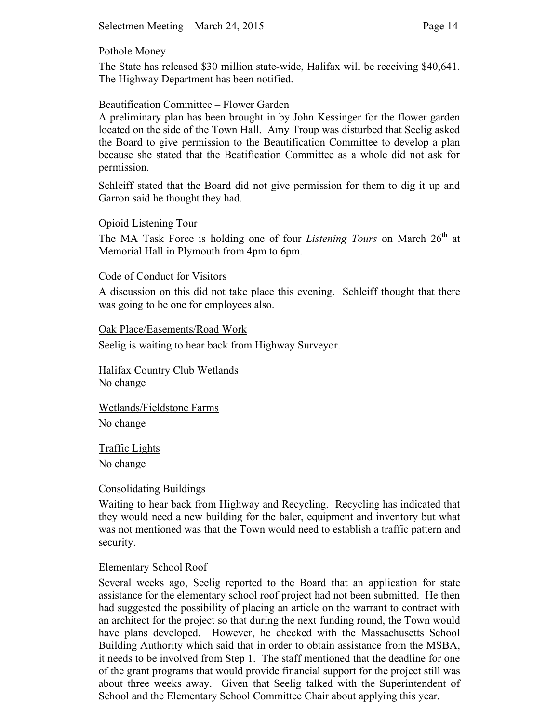### Pothole Money

The State has released \$30 million state-wide, Halifax will be receiving \$40,641. The Highway Department has been notified.

### Beautification Committee – Flower Garden

A preliminary plan has been brought in by John Kessinger for the flower garden located on the side of the Town Hall. Amy Troup was disturbed that Seelig asked the Board to give permission to the Beautification Committee to develop a plan because she stated that the Beatification Committee as a whole did not ask for permission.

Schleiff stated that the Board did not give permission for them to dig it up and Garron said he thought they had.

### Opioid Listening Tour

The MA Task Force is holding one of four *Listening Tours* on March 26<sup>th</sup> at Memorial Hall in Plymouth from 4pm to 6pm.

### Code of Conduct for Visitors

A discussion on this did not take place this evening. Schleiff thought that there was going to be one for employees also.

#### Oak Place/Easements/Road Work

Seelig is waiting to hear back from Highway Surveyor.

Halifax Country Club Wetlands No change

Wetlands/Fieldstone Farms No change

Traffic Lights

No change

### Consolidating Buildings

Waiting to hear back from Highway and Recycling. Recycling has indicated that they would need a new building for the baler, equipment and inventory but what was not mentioned was that the Town would need to establish a traffic pattern and security.

### Elementary School Roof

Several weeks ago, Seelig reported to the Board that an application for state assistance for the elementary school roof project had not been submitted. He then had suggested the possibility of placing an article on the warrant to contract with an architect for the project so that during the next funding round, the Town would have plans developed. However, he checked with the Massachusetts School Building Authority which said that in order to obtain assistance from the MSBA, it needs to be involved from Step 1. The staff mentioned that the deadline for one of the grant programs that would provide financial support for the project still was about three weeks away. Given that Seelig talked with the Superintendent of School and the Elementary School Committee Chair about applying this year.